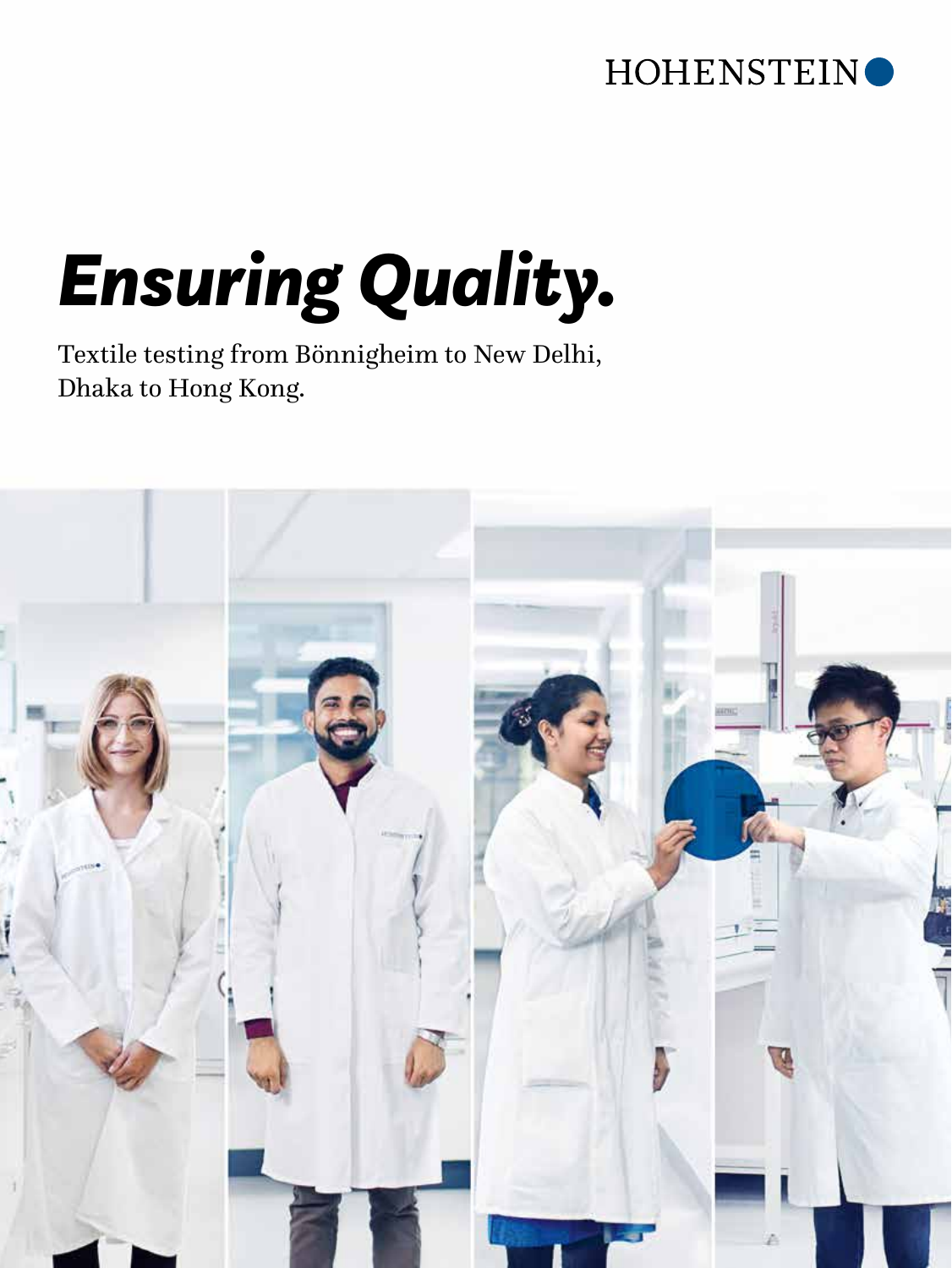#### HOHENSTEIN<sup>O</sup>

# *Ensuring Quality.*

Textile testing from Bönnigheim to New Delhi, Dhaka to Hong Kong.

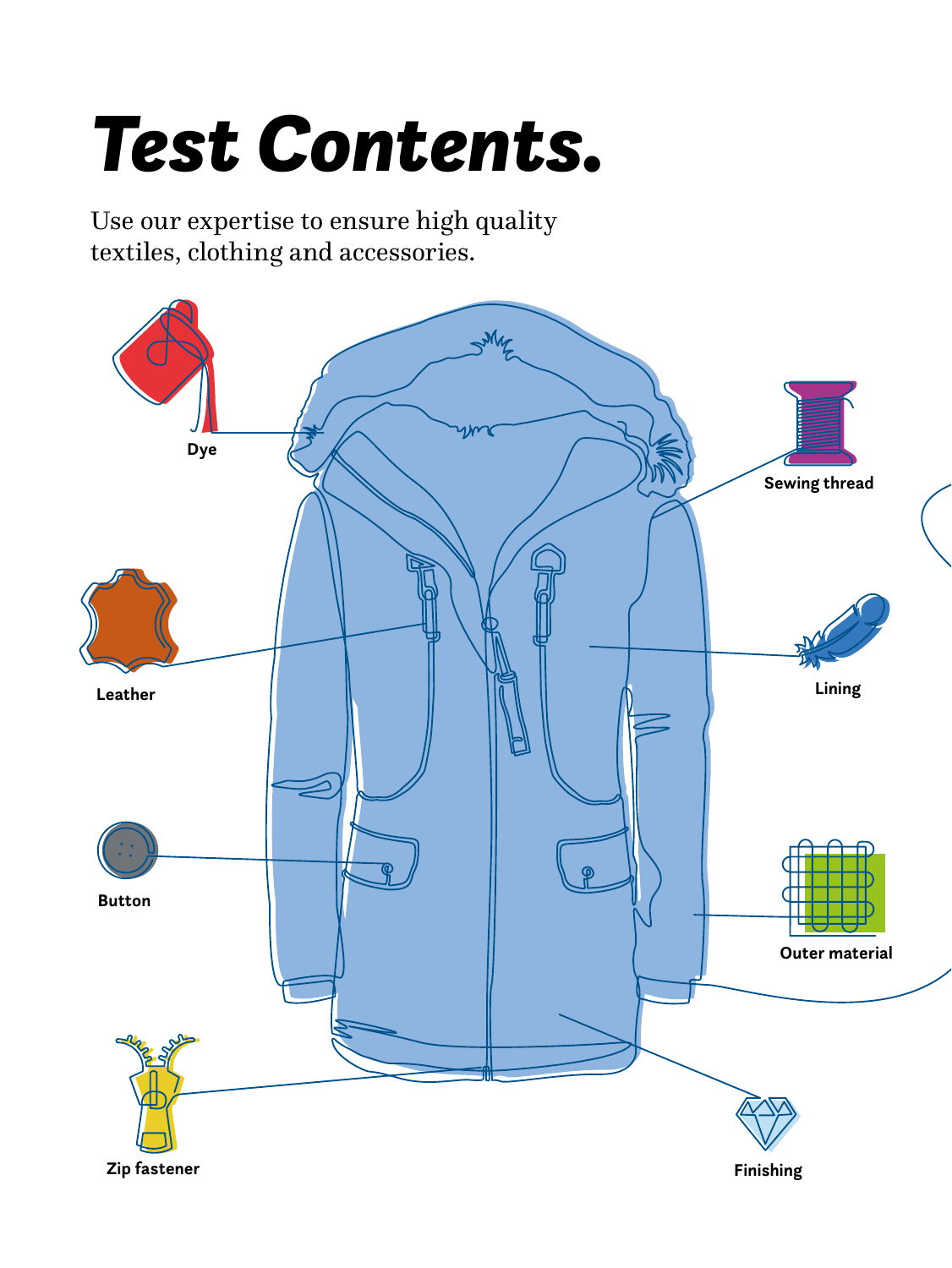## *Test Contents.*

Use our expertise to ensure high quality textiles, clothing and accessories.

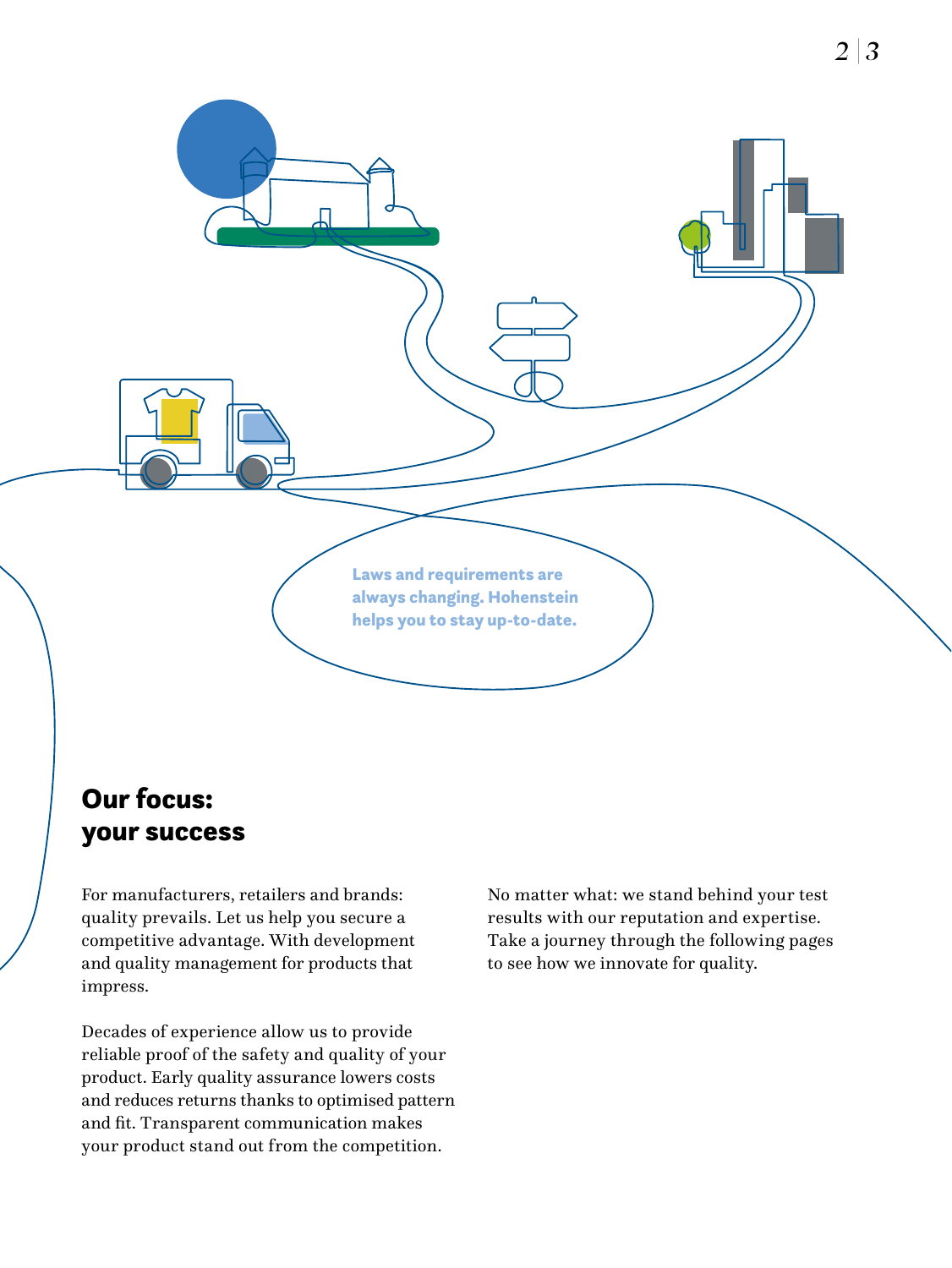

#### Our focus: your success

For manufacturers, retailers and brands: quality prevails. Let us help you secure a competitive advantage. With development and quality management for products that impress.

Decades of experience allow us to provide reliable proof of the safety and quality of your product. Early quality assurance lowers costs and reduces returns thanks to optimised pattern and fit. Transparent communication makes your product stand out from the competition.

No matter what: we stand behind your test results with our reputation and expertise. Take a journey through the following pages to see how we innovate for quality.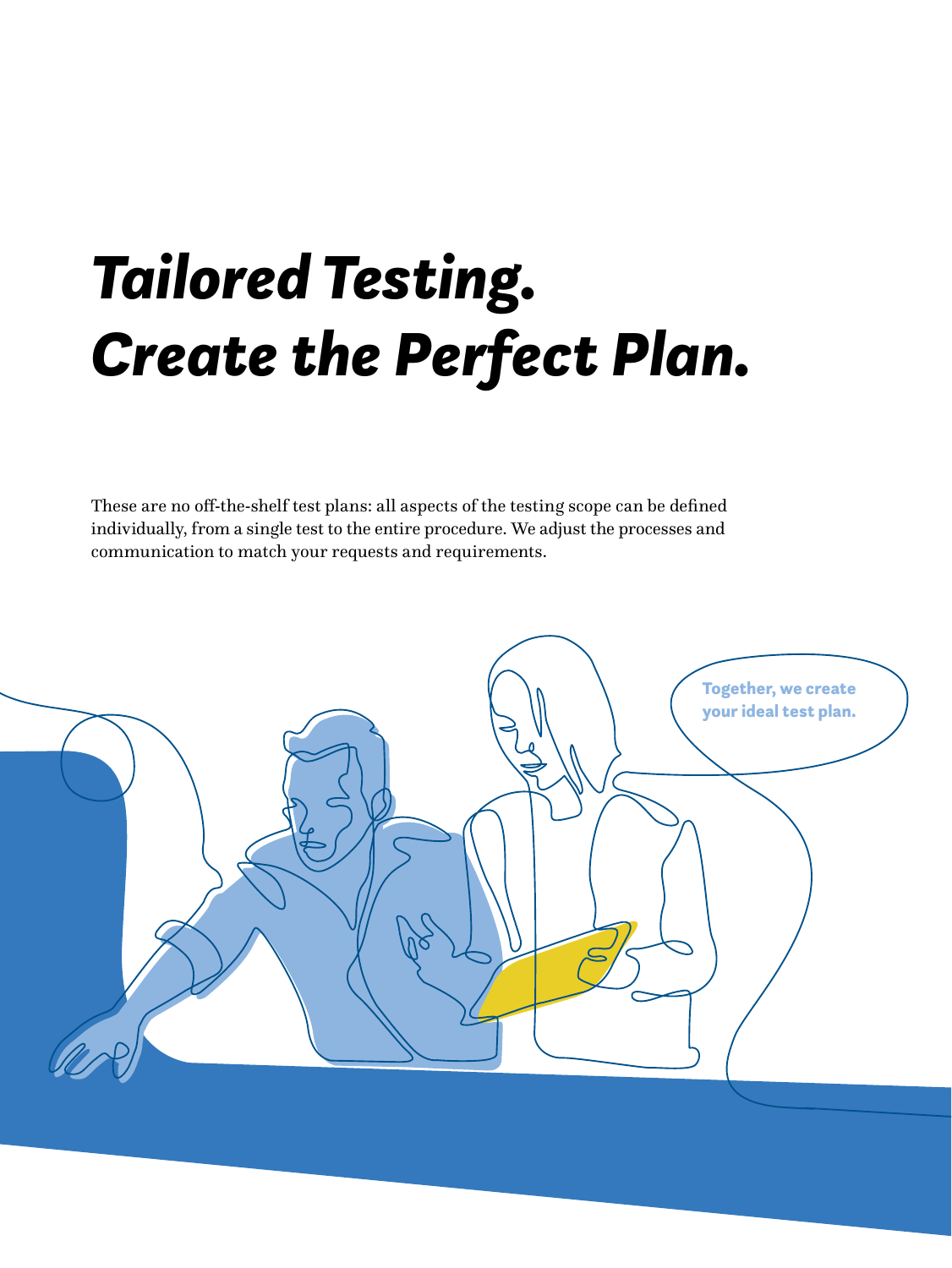## *Tailored Testing. Create the Perfect Plan.*

These are no off-the-shelf test plans: all aspects of the testing scope can be defined individually, from a single test to the entire procedure. We adjust the processes and communication to match your requests and requirements.

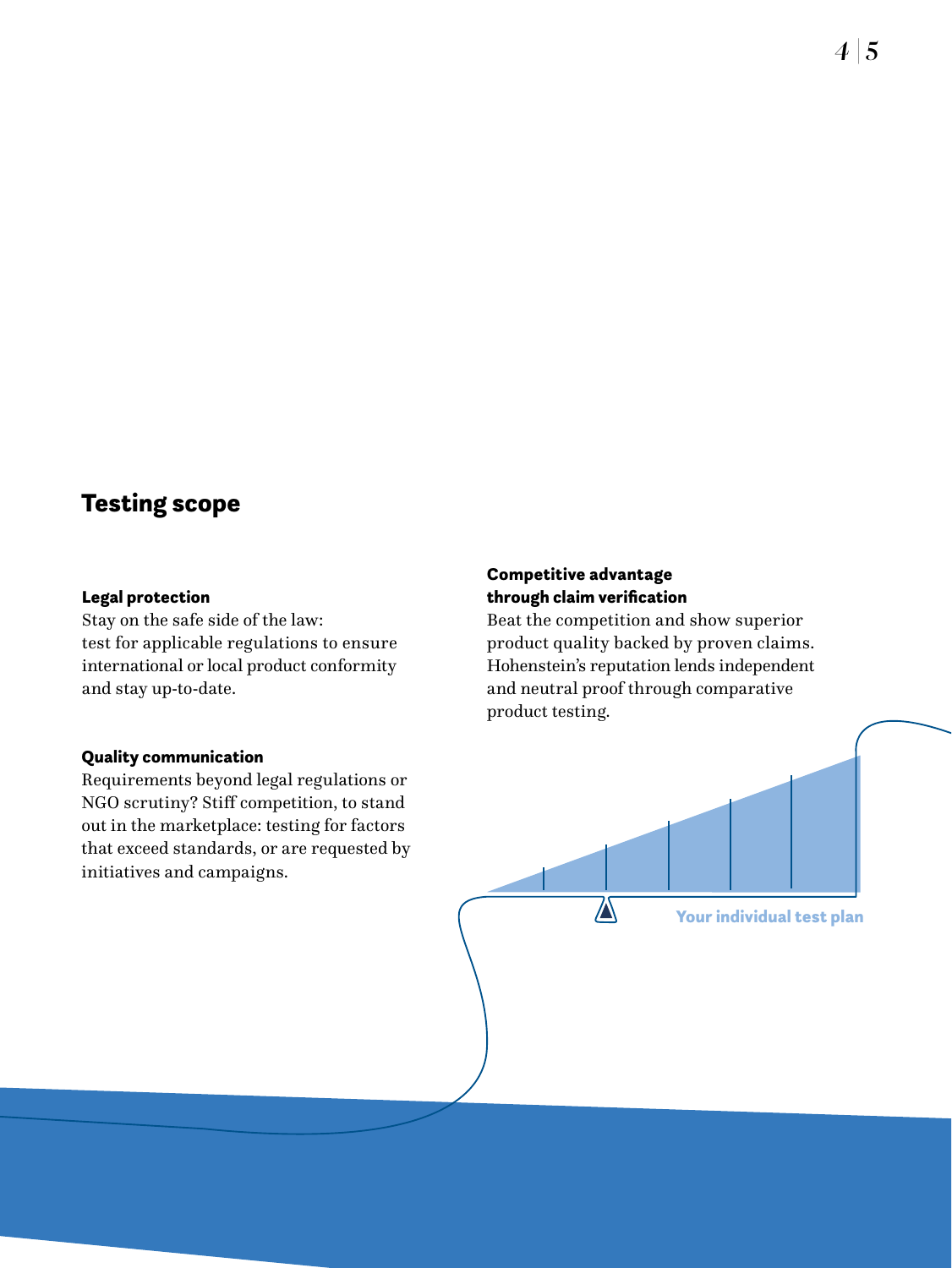#### Testing scope

#### Legal protection

Stay on the safe side of the law: test for applicable regulations to ensure international or local product conformity and stay up-to-date.

#### Quality communication

Requirements beyond legal regulations or NGO scrutiny? Stiff competition, to stand out in the marketplace: testing for factors that exceed standards, or are requested by initiatives and campaigns.

#### Competitive advantage through claim verification

Beat the competition and show superior product quality backed by proven claims. Hohenstein's reputation lends independent and neutral proof through comparative product testing.

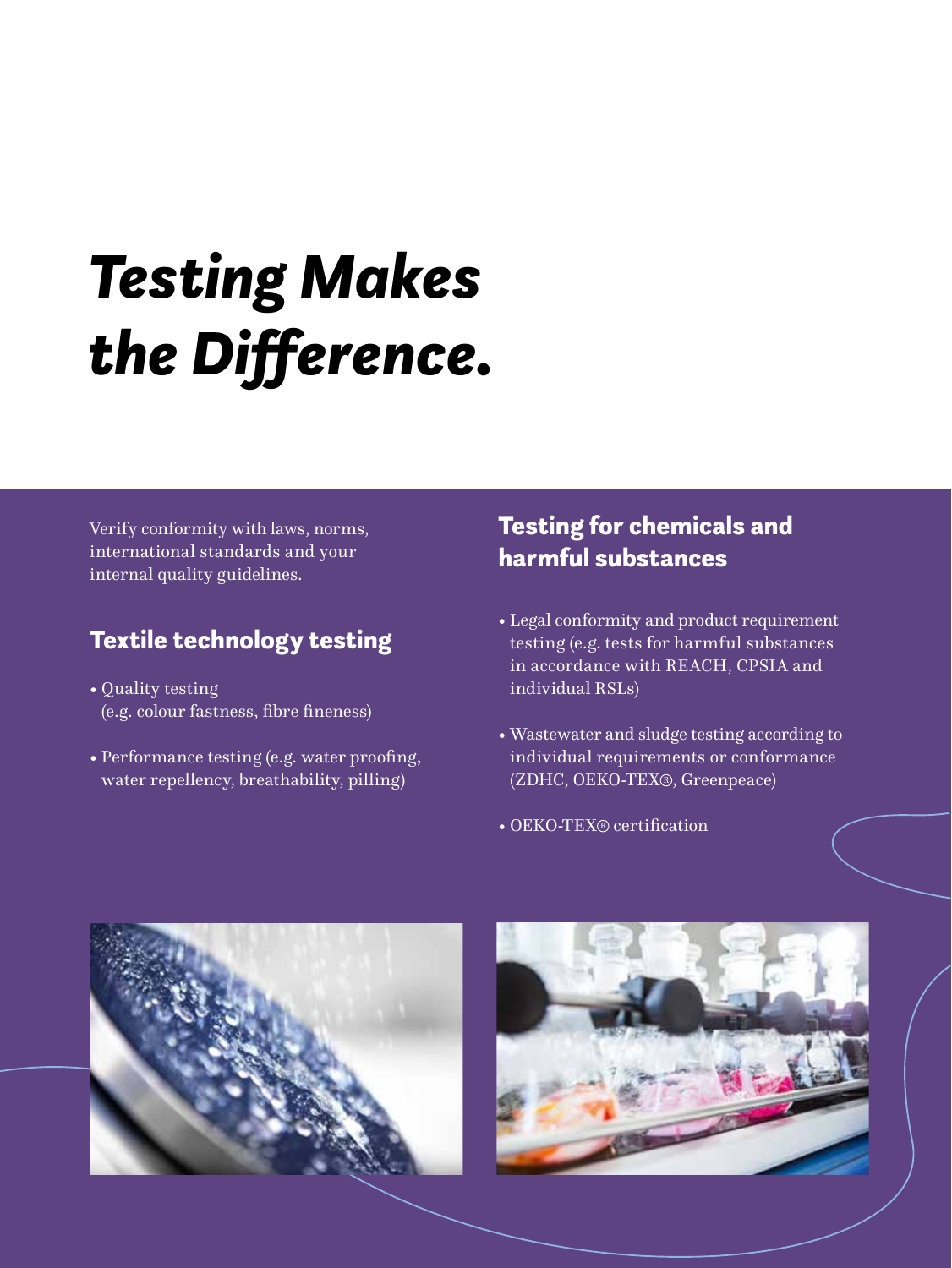## *Testing Makes the Difference.*

Verify conformity with laws, norms, international standards and your internal quality guidelines.

#### Textile technology testing

- Quality testing (e.g. colour fastness, fibre fineness)
- Performance testing (e.g. water proofing, water repellency, breathability, pilling)

#### Testing for chemicals and harmful substances

- Legal conformity and product requirement testing (e.g. tests for harmful substances in accordance with REACH, CPSIA and individual RSLs)
- Wastewater and sludge testing according to individual requirements or conformance (ZDHC, OEKO-TEX<sup>®</sup>, Greenpeace)
- OEKO-TEX<sup>®</sup> certification



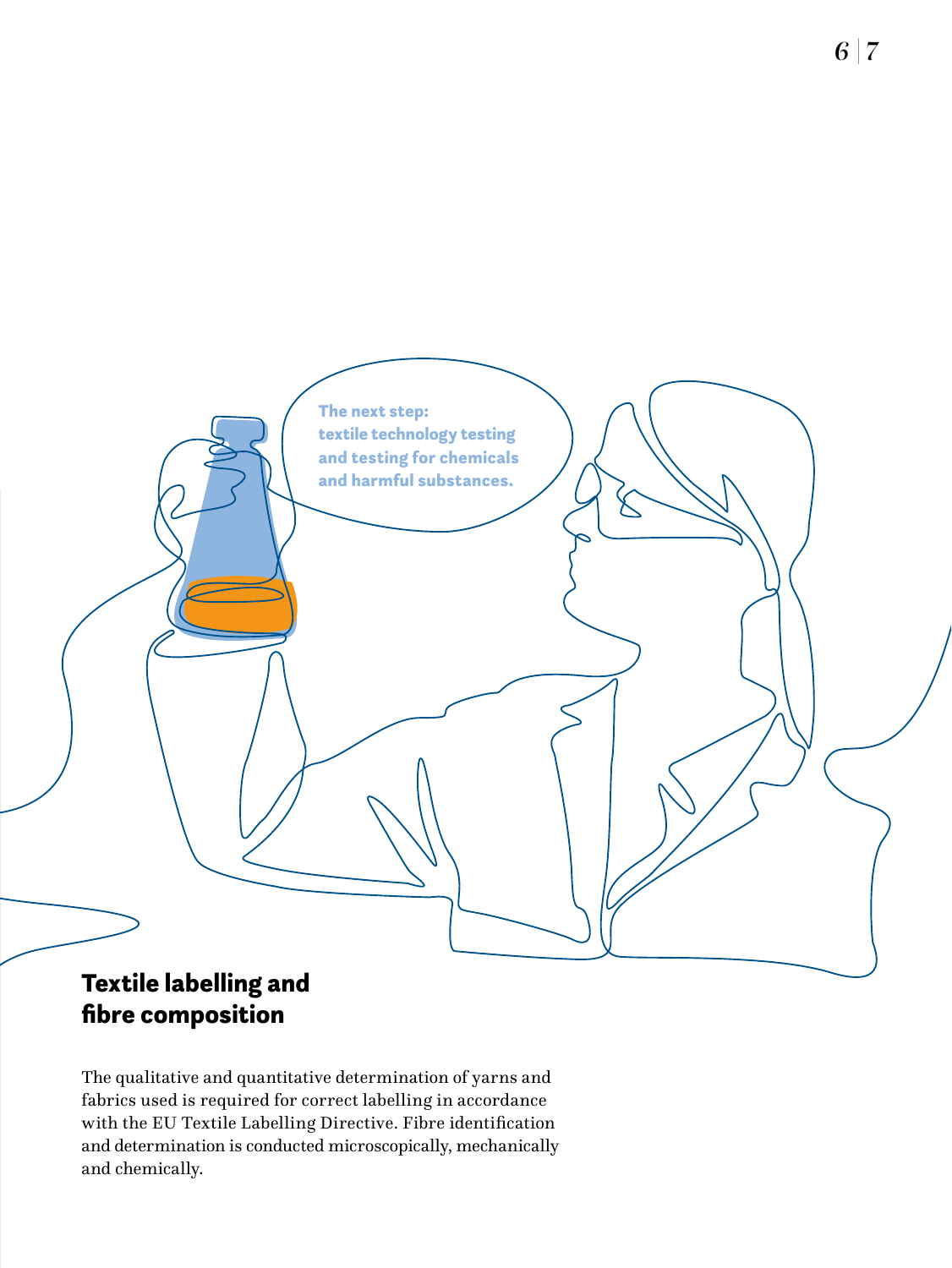

#### Textile labelling and fibre composition

The qualitative and quantitative determination of yarns and fabrics used is required for correct labelling in accordance with the EU Textile Labelling Directive. Fibre identification and determination is conducted microscopically, mechanically and chemically.

*6 | 7*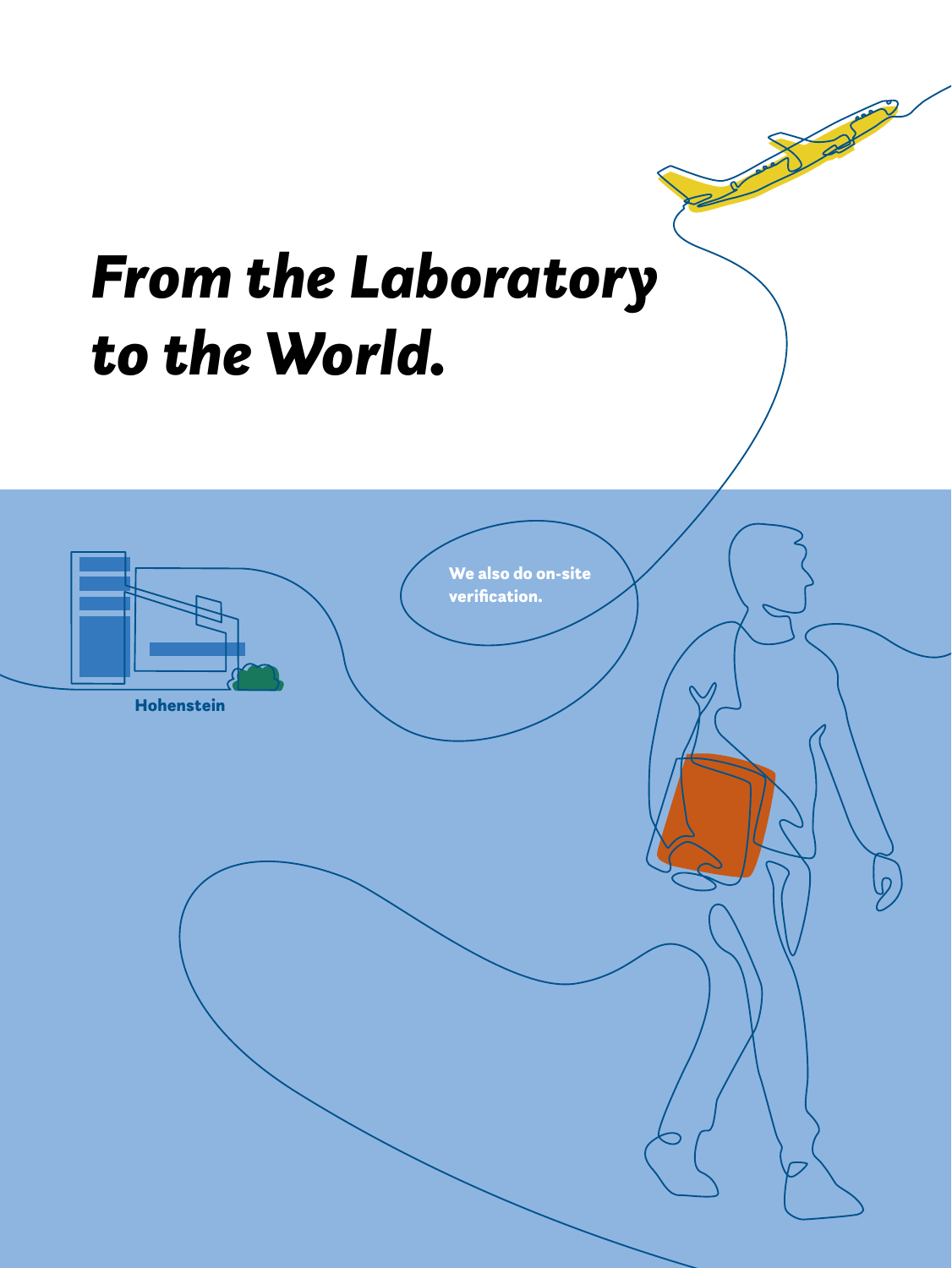# *From the Laboratory to the World.* We also do on-site verification. Hohenstein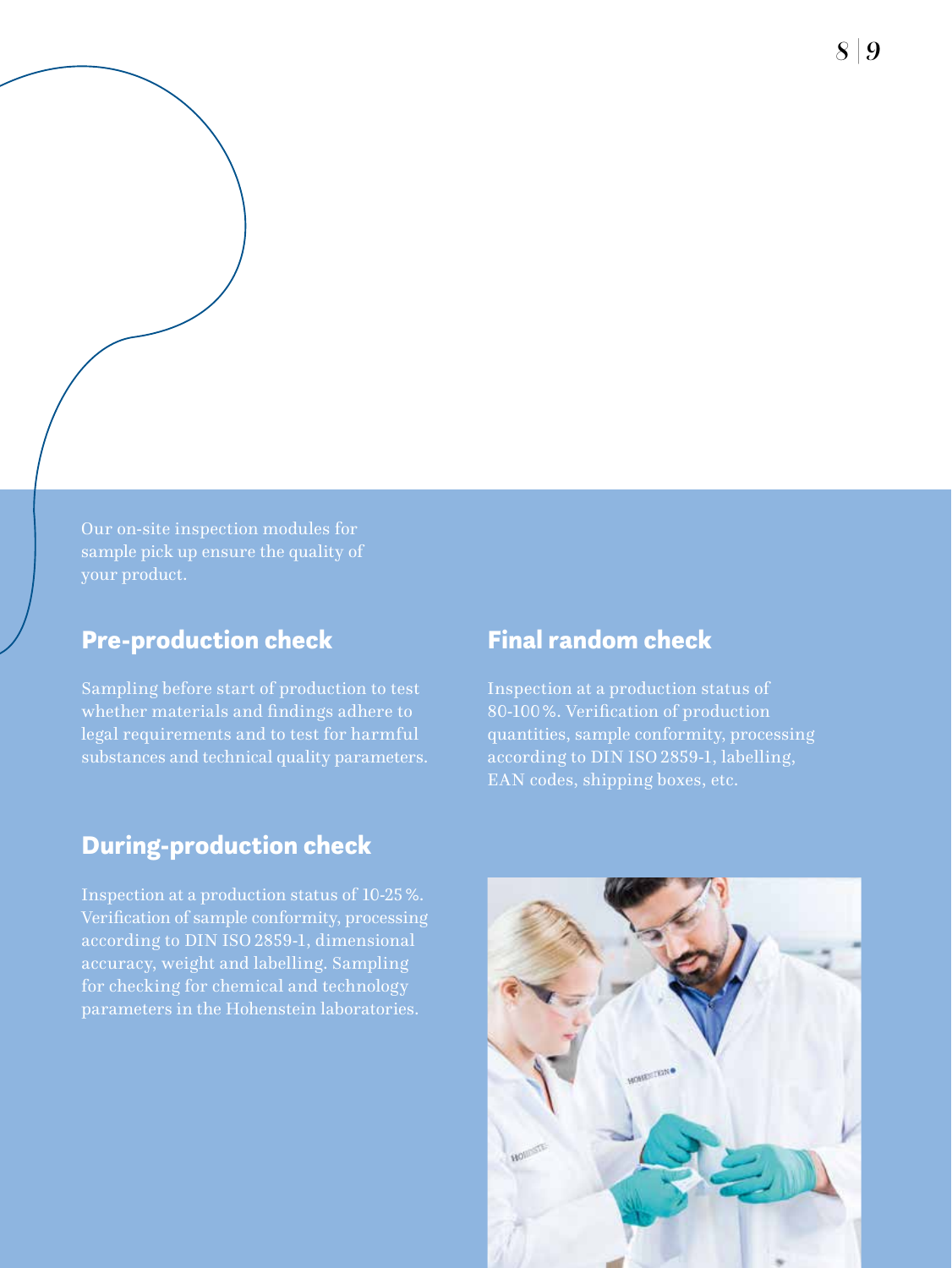*8 | 9*

Our on-site inspection modules for sample pick up ensure the quality of

#### Pre-production check

Sampling before start of production to test whether materials and findings adhere to legal requirements and to test for harmful substances and technical quality parameters.

#### Final random check

Inspection at a production status of 80-100%. Verification of production quantities, sample conformity, processing according to DIN ISO 2859-1, labelling, EAN codes, shipping boxes, etc.

#### During-production check

Inspection at a production status of 10-25%. Verification of sample conformity, processing according to DIN ISO 2859-1, dimensional accuracy, weight and labelling. Sampling for checking for chemical and technology parameters in the Hohenstein laboratories.

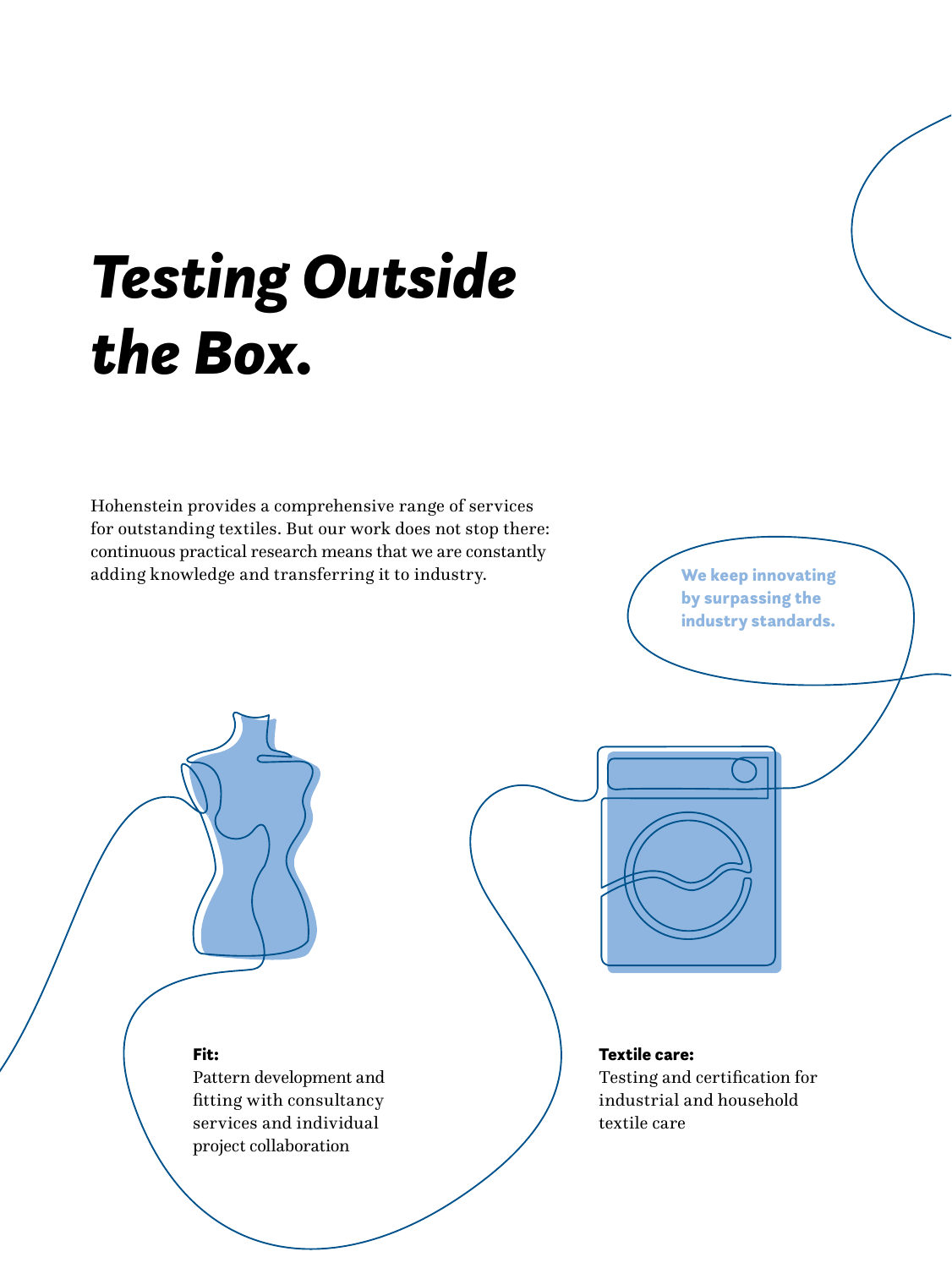## *Testing Outside the Box.*

Hohenstein provides a comprehensive range of services for outstanding textiles. But our work does not stop there: continuous practical research means that we are constantly adding knowledge and transferring it to industry.

We keep innovating by surpassing the industry standards.



Fit:

Pattern development and fitting with consultancy services and individual project collaboration

#### Textile care:

Testing and certification for industrial and household textile care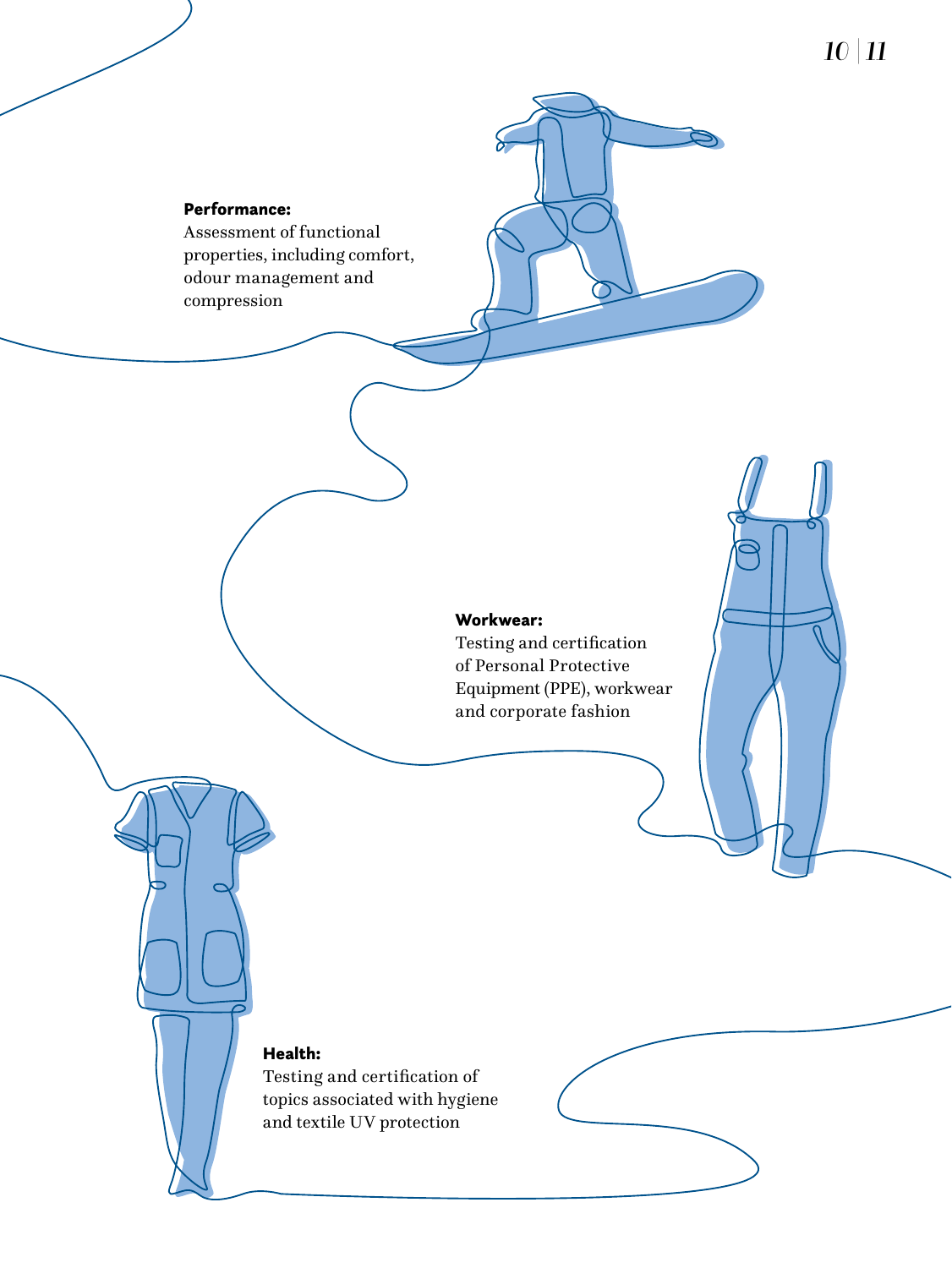#### Performance:

Assessment of functional properties, including comfort, odour management and compression

#### Workwear:

Testing and certification of Personal Protective Equipment (PPE), workwear and corporate fashion

#### Health:

Testing and certification of topics associated with hygiene and textile UV protection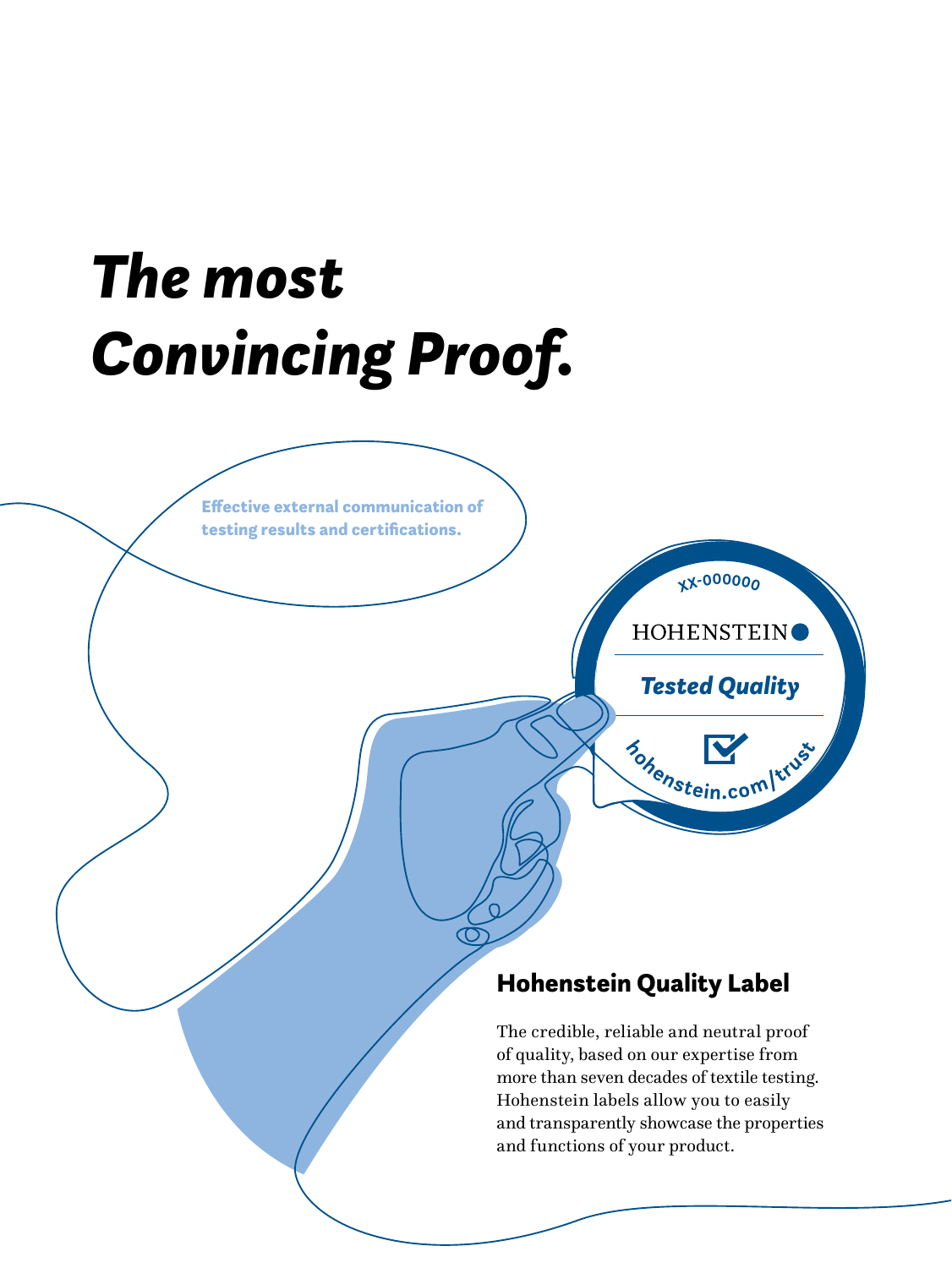

more than seven decades of textile testing. Hohenstein labels allow you to easily and transparently showcase the properties and functions of your product.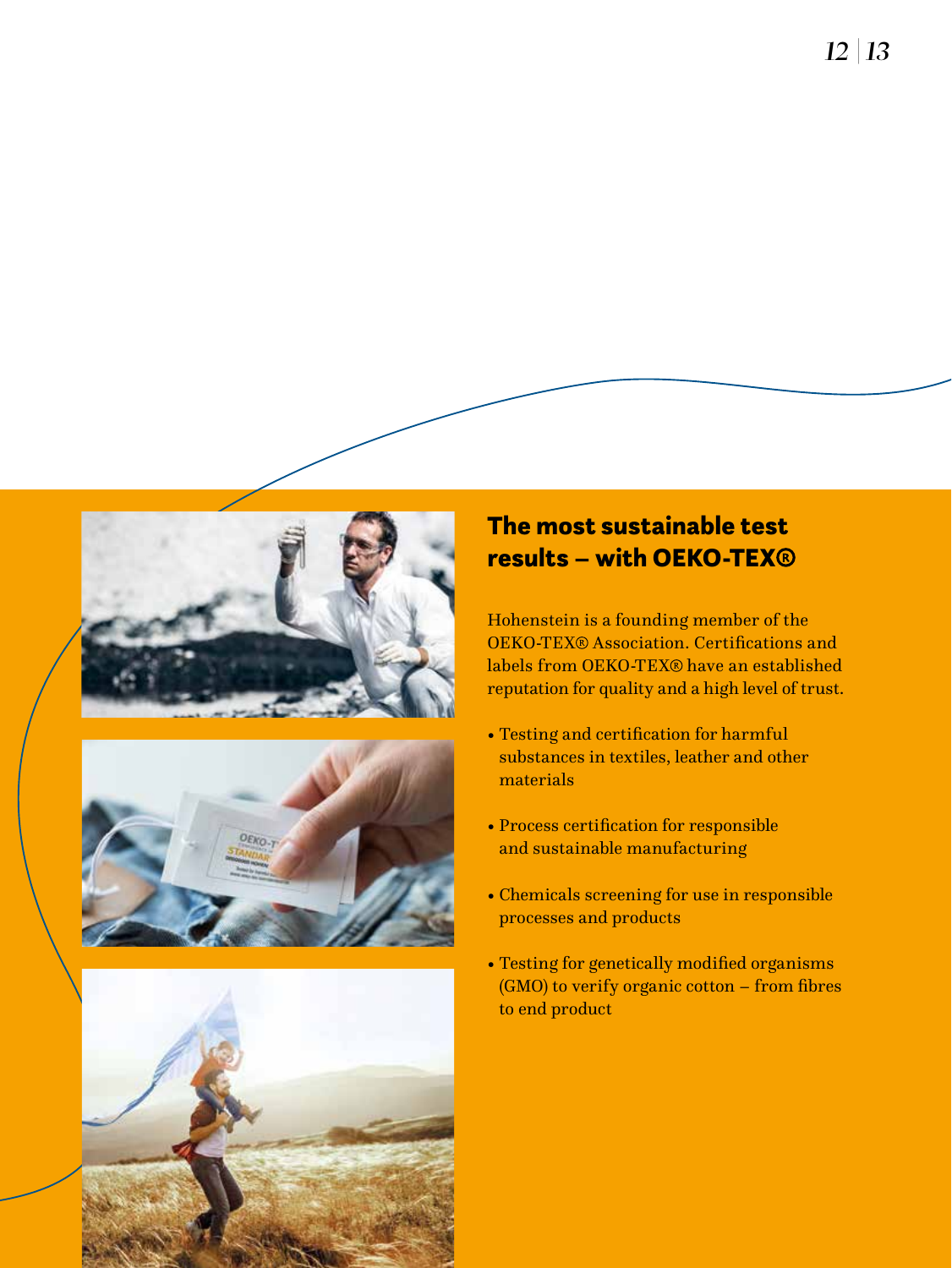





#### The most sustainable test results – with OEKO-TEX

Hohenstein is a founding member of the OEKO-TEX<sup>®</sup> Association. Certifications and labels from OEKO-TEX® have an established reputation for quality and a high level of trust.

- Testing and certification for harmful substances in textiles, leather and other materials
- Process certification for responsible and sustainable manufacturing
- Chemicals screening for use in responsible processes and products
- Testing for genetically modified organisms (GMO) to verify organic cotton – from fibres to end product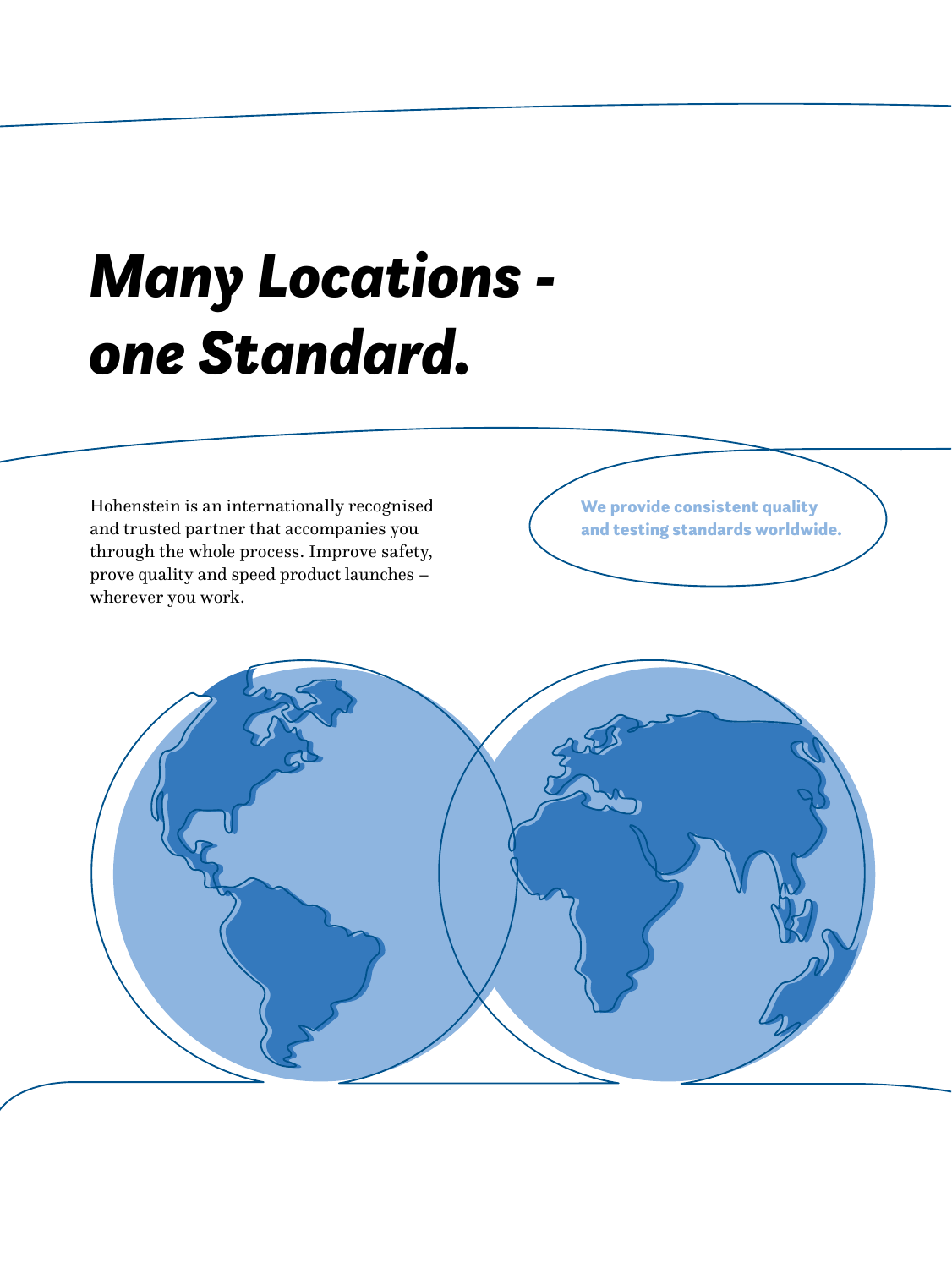## *Many Locations one Standard.*

Hohenstein is an internationally recognised and trusted partner that accompanies you through the whole process. Improve safety, prove quality and speed product launches – wherever you work.

We provide consistent quality and testing standards worldwide.

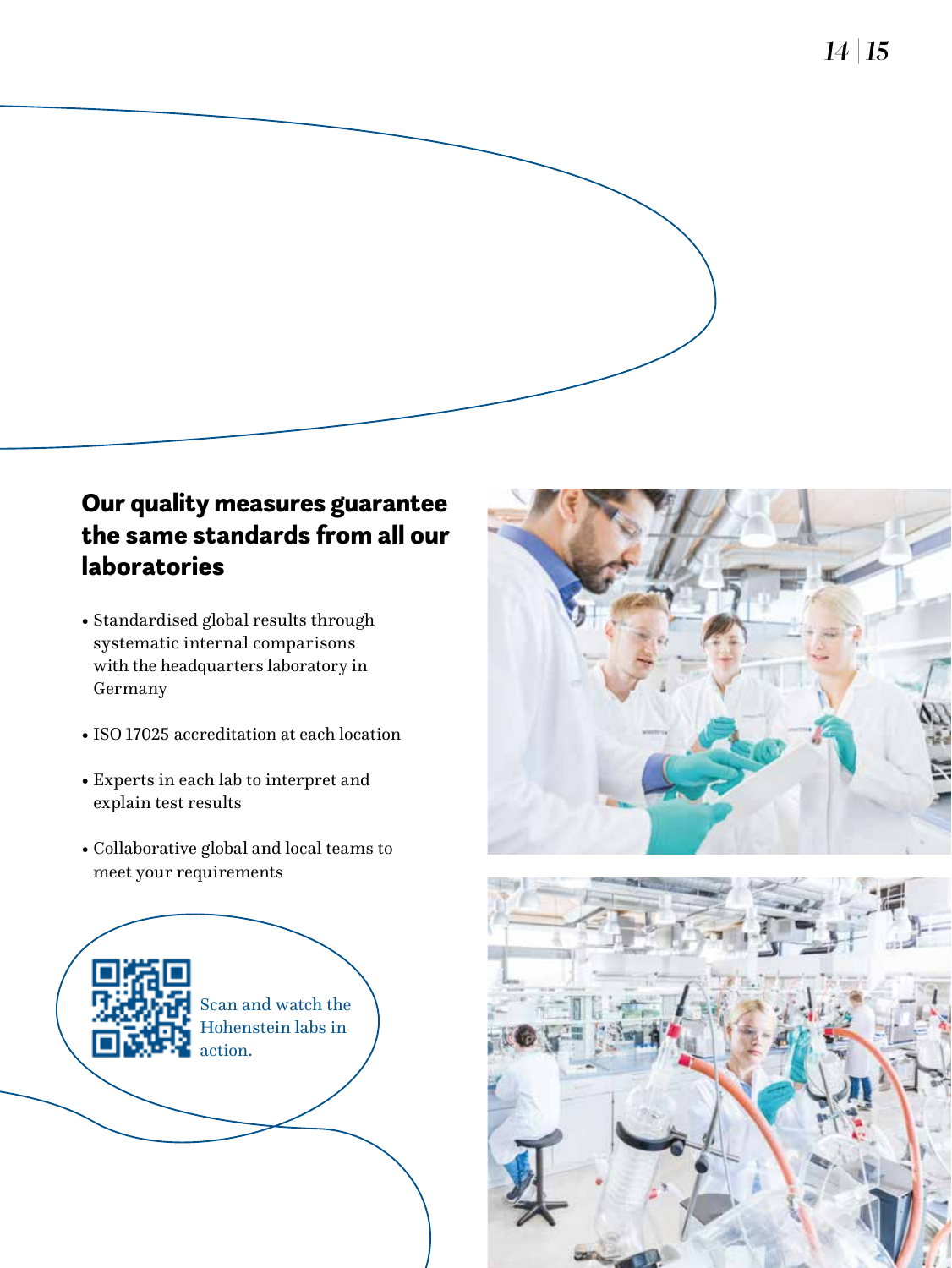*14 |15*

#### Our quality measures guarantee the same standards from all our laboratories

- Standardised global results through systematic internal comparisons with the headquarters laboratory in Germany
- ISO17025 accreditation at each location
- Experts in each lab to interpret and explain test results
- Collaborative global and local teams to meet your requirements